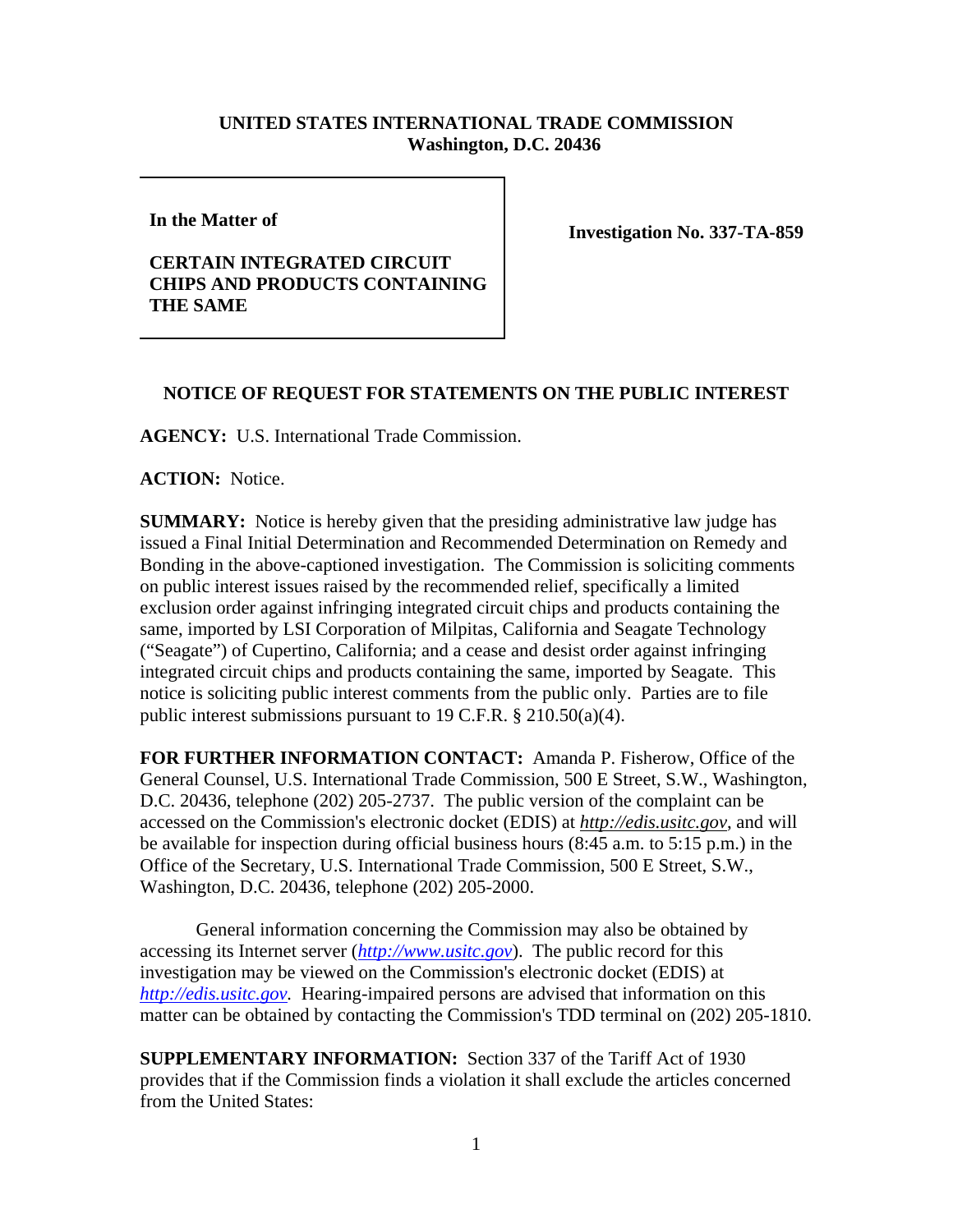## **UNITED STATES INTERNATIONAL TRADE COMMISSION Washington, D.C. 20436**

**In the Matter of** 

## **CERTAIN INTEGRATED CIRCUIT CHIPS AND PRODUCTS CONTAINING THE SAME**

**Investigation No. 337-TA-859**

## **NOTICE OF REQUEST FOR STATEMENTS ON THE PUBLIC INTEREST**

**AGENCY:** U.S. International Trade Commission.

**ACTION:** Notice.

**SUMMARY:** Notice is hereby given that the presiding administrative law judge has issued a Final Initial Determination and Recommended Determination on Remedy and Bonding in the above-captioned investigation. The Commission is soliciting comments on public interest issues raised by the recommended relief, specifically a limited exclusion order against infringing integrated circuit chips and products containing the same, imported by LSI Corporation of Milpitas, California and Seagate Technology ("Seagate") of Cupertino, California; and a cease and desist order against infringing integrated circuit chips and products containing the same, imported by Seagate. This notice is soliciting public interest comments from the public only. Parties are to file public interest submissions pursuant to 19 C.F.R. § 210.50(a)(4).

**FOR FURTHER INFORMATION CONTACT:** Amanda P. Fisherow, Office of the General Counsel, U.S. International Trade Commission, 500 E Street, S.W., Washington, D.C. 20436, telephone (202) 205-2737. The public version of the complaint can be accessed on the Commission's electronic docket (EDIS) at *http://edis.usitc.gov*, and will be available for inspection during official business hours (8:45 a.m. to 5:15 p.m.) in the Office of the Secretary, U.S. International Trade Commission, 500 E Street, S.W., Washington, D.C. 20436, telephone (202) 205-2000.

General information concerning the Commission may also be obtained by accessing its Internet server (*http://www.usitc.gov*). The public record for this investigation may be viewed on the Commission's electronic docket (EDIS) at *http://edis.usitc.gov.* Hearing-impaired persons are advised that information on this matter can be obtained by contacting the Commission's TDD terminal on (202) 205-1810.

**SUPPLEMENTARY INFORMATION:** Section 337 of the Tariff Act of 1930 provides that if the Commission finds a violation it shall exclude the articles concerned from the United States: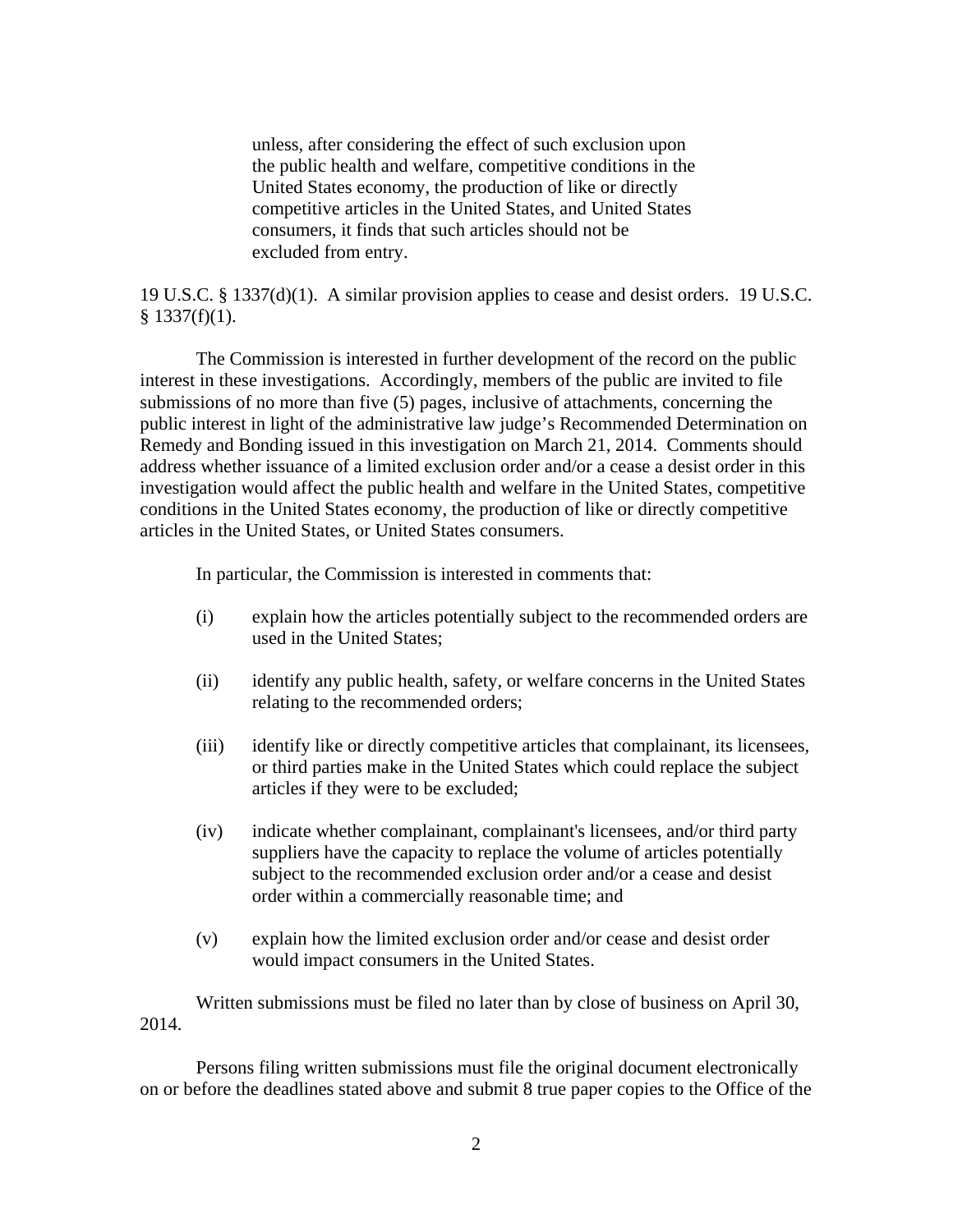unless, after considering the effect of such exclusion upon the public health and welfare, competitive conditions in the United States economy, the production of like or directly competitive articles in the United States, and United States consumers, it finds that such articles should not be excluded from entry.

19 U.S.C. § 1337(d)(1). A similar provision applies to cease and desist orders. 19 U.S.C.  $§$  1337(f)(1).

The Commission is interested in further development of the record on the public interest in these investigations. Accordingly, members of the public are invited to file submissions of no more than five (5) pages, inclusive of attachments, concerning the public interest in light of the administrative law judge's Recommended Determination on Remedy and Bonding issued in this investigation on March 21, 2014. Comments should address whether issuance of a limited exclusion order and/or a cease a desist order in this investigation would affect the public health and welfare in the United States, competitive conditions in the United States economy, the production of like or directly competitive articles in the United States, or United States consumers.

In particular, the Commission is interested in comments that:

- (i) explain how the articles potentially subject to the recommended orders are used in the United States;
- (ii) identify any public health, safety, or welfare concerns in the United States relating to the recommended orders;
- (iii) identify like or directly competitive articles that complainant, its licensees, or third parties make in the United States which could replace the subject articles if they were to be excluded;
- (iv) indicate whether complainant, complainant's licensees, and/or third party suppliers have the capacity to replace the volume of articles potentially subject to the recommended exclusion order and/or a cease and desist order within a commercially reasonable time; and
- (v) explain how the limited exclusion order and/or cease and desist order would impact consumers in the United States.

Written submissions must be filed no later than by close of business on April 30, 2014.

Persons filing written submissions must file the original document electronically on or before the deadlines stated above and submit 8 true paper copies to the Office of the